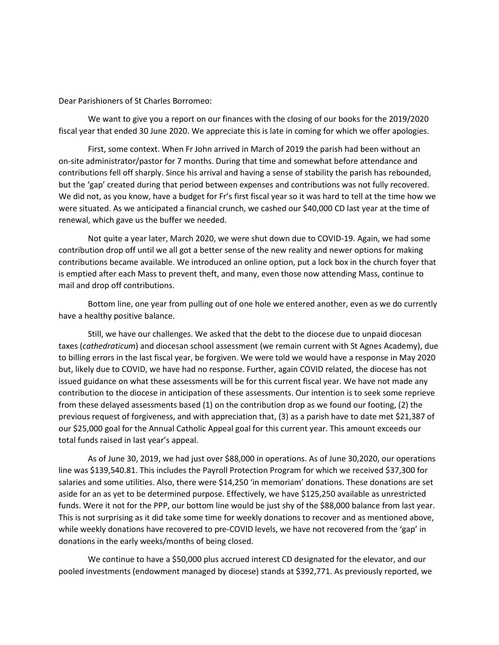Dear Parishioners of St Charles Borromeo:

We want to give you a report on our finances with the closing of our books for the 2019/2020 fiscal year that ended 30 June 2020. We appreciate this is late in coming for which we offer apologies.

First, some context. When Fr John arrived in March of 2019 the parish had been without an on-site administrator/pastor for 7 months. During that time and somewhat before attendance and contributions fell off sharply. Since his arrival and having a sense of stability the parish has rebounded, but the 'gap' created during that period between expenses and contributions was not fully recovered. We did not, as you know, have a budget for Fr's first fiscal year so it was hard to tell at the time how we were situated. As we anticipated a financial crunch, we cashed our \$40,000 CD last year at the time of renewal, which gave us the buffer we needed.

Not quite a year later, March 2020, we were shut down due to COVID-19. Again, we had some contribution drop off until we all got a better sense of the new reality and newer options for making contributions became available. We introduced an online option, put a lock box in the church foyer that is emptied after each Mass to prevent theft, and many, even those now attending Mass, continue to mail and drop off contributions.

Bottom line, one year from pulling out of one hole we entered another, even as we do currently have a healthy positive balance.

Still, we have our challenges. We asked that the debt to the diocese due to unpaid diocesan taxes (*cathedraticum*) and diocesan school assessment (we remain current with St Agnes Academy), due to billing errors in the last fiscal year, be forgiven. We were told we would have a response in May 2020 but, likely due to COVID, we have had no response. Further, again COVID related, the diocese has not issued guidance on what these assessments will be for this current fiscal year. We have not made any contribution to the diocese in anticipation of these assessments. Our intention is to seek some reprieve from these delayed assessments based (1) on the contribution drop as we found our footing, (2) the previous request of forgiveness, and with appreciation that, (3) as a parish have to date met \$21,387 of our \$25,000 goal for the Annual Catholic Appeal goal for this current year. This amount exceeds our total funds raised in last year's appeal.

As of June 30, 2019, we had just over \$88,000 in operations. As of June 30,2020, our operations line was \$139,540.81. This includes the Payroll Protection Program for which we received \$37,300 for salaries and some utilities. Also, there were \$14,250 'in memoriam' donations. These donations are set aside for an as yet to be determined purpose. Effectively, we have \$125,250 available as unrestricted funds. Were it not for the PPP, our bottom line would be just shy of the \$88,000 balance from last year. This is not surprising as it did take some time for weekly donations to recover and as mentioned above, while weekly donations have recovered to pre-COVID levels, we have not recovered from the 'gap' in donations in the early weeks/months of being closed.

We continue to have a \$50,000 plus accrued interest CD designated for the elevator, and our pooled investments (endowment managed by diocese) stands at \$392,771. As previously reported, we